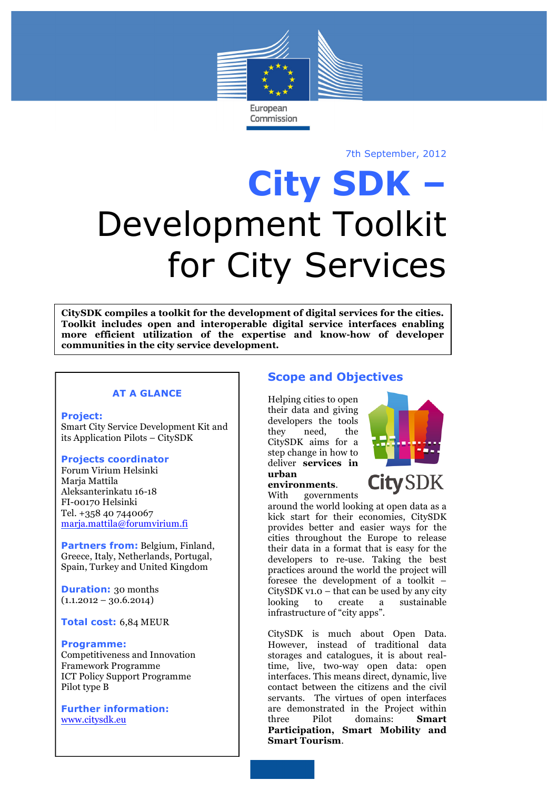

7th September, 2012

# **City SDK –** Development Toolkit for City Services

**CitySDK compiles a toolkit for the development of digital services for the cities. Toolkit includes open and interoperable digital service interfaces enabling more efficient utilization of the expertise and know-how of developer communities in the city service development.** 

#### **AT A GLANCE**

#### **Project:**

Smart City Service Development Kit and its Application Pilots – CitySDK

#### **Projects coordinator**

Forum Virium Helsinki Maria Mattila Aleksanterinkatu 16-18 FI-00170 Helsinki Tel. +358 40 7440067 marja.mattila@forumvirium.fi

**Partners from:** Belgium, Finland, Greece, Italy, Netherlands, Portugal, Spain, Turkey and United Kingdom

**Duration:** 30 months  $(1.1.2012 - 30.6.2014)$ 

**Total cost:** 6,84 MEUR

#### **Programme:**

Competitiveness and Innovation Framework Programme ICT Policy Support Programme Pilot type B

**Further information:** www.citysdk.eu

# **Scope and Objectives**

Helping cities to open their data and giving developers the tools they need, the CitySDK aims for a step change in how to deliver **services in** 



**City SDK** 

#### **urban environments**.

With governments

around the world looking at open data as a kick start for their economies, CitySDK provides better and easier ways for the cities throughout the Europe to release their data in a format that is easy for the developers to re-use. Taking the best practices around the world the project will foresee the development of a toolkit  $-$ CitySDK v1.0 – that can be used by any city looking to create a sustainable infrastructure of "city apps".

CitySDK is much about Open Data. However, instead of traditional data storages and catalogues, it is about realtime, live, two-way open data: open interfaces. This means direct, dynamic, live contact between the citizens and the civil servants. The virtues of open interfaces are demonstrated in the Project within three Pilot domains: **Smart Participation, Smart Mobility and Smart Tourism**.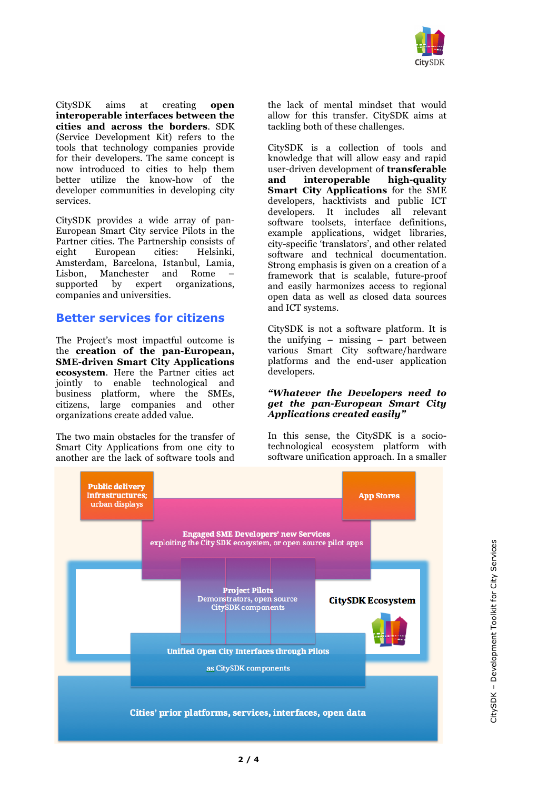

CitySDK aims at creating **open interoperable interfaces between the cities and across the borders**. SDK (Service Development Kit) refers to the tools that technology companies provide for their developers. The same concept is now introduced to cities to help them better utilize the know-how of the developer communities in developing city services.

CitySDK provides a wide array of pan-European Smart City service Pilots in the Partner cities. The Partnership consists of eight European cities: Helsinki, Amsterdam, Barcelona, Istanbul, Lamia, Lisbon, Manchester and Rome –<br>supported by expert organizations. supported by expert companies and universities.

## **Better services for citizens**

The Project's most impactful outcome is the **creation of the pan-European, SME-driven Smart City Applications ecosystem**. Here the Partner cities act jointly to enable technological and business platform, where the SMEs, citizens, large companies and other organizations create added value.

The two main obstacles for the transfer of Smart City Applications from one city to another are the lack of software tools and the lack of mental mindset that would allow for this transfer. CitySDK aims at tackling both of these challenges.

CitySDK is a collection of tools and knowledge that will allow easy and rapid user-driven development of **transferable and interoperable high-quality Smart City Applications** for the SME developers, hacktivists and public ICT developers. It includes all relevant software toolsets, interface definitions, example applications, widget libraries, city-specific 'translators', and other related software and technical documentation. Strong emphasis is given on a creation of a framework that is scalable, future-proof and easily harmonizes access to regional open data as well as closed data sources and ICT systems.

CitySDK is not a software platform. It is the unifying – missing – part between various Smart City software/hardware platforms and the end-user application developers.

#### *"Whatever the Developers need to get the pan-European Smart City Applications created easily"*

In this sense, the CitySDK is a sociotechnological ecosystem platform with software unification approach. In a smaller

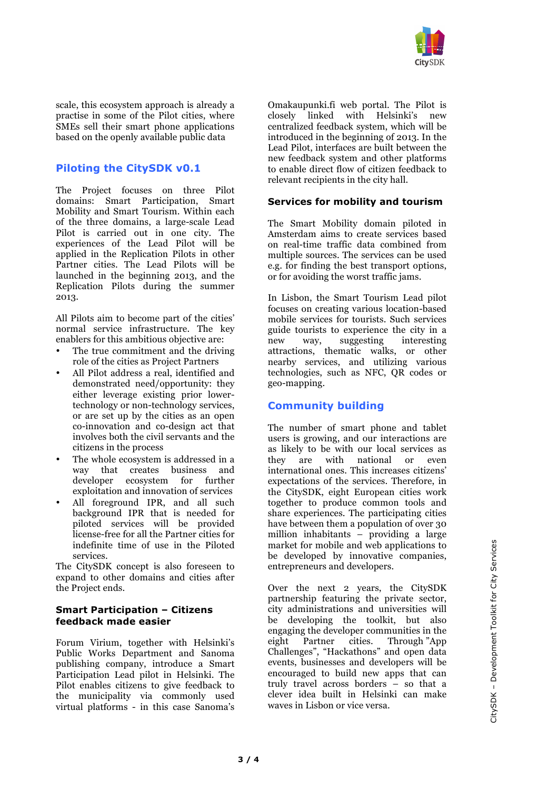

scale, this ecosystem approach is already a practise in some of the Pilot cities, where SMEs sell their smart phone applications based on the openly available public data

# **Piloting the CitySDK v0.1**

The Project focuses on three Pilot domains: Smart Participation, Smart Mobility and Smart Tourism. Within each of the three domains, a large-scale Lead Pilot is carried out in one city. The experiences of the Lead Pilot will be applied in the Replication Pilots in other Partner cities. The Lead Pilots will be launched in the beginning 2013, and the Replication Pilots during the summer 2013.

All Pilots aim to become part of the cities' normal service infrastructure. The key enablers for this ambitious objective are:

- The true commitment and the driving role of the cities as Project Partners
- All Pilot address a real, identified and demonstrated need/opportunity: they either leverage existing prior lowertechnology or non-technology services, or are set up by the cities as an open co-innovation and co-design act that involves both the civil servants and the citizens in the process
- The whole ecosystem is addressed in a<br>way that creates business and that creates business developer ecosystem for further exploitation and innovation of services
- All foreground IPR, and all such background IPR that is needed for piloted services will be provided license-free for all the Partner cities for indefinite time of use in the Piloted services.

The CitySDK concept is also foreseen to expand to other domains and cities after the Project ends.

#### **Smart Participation – Citizens feedback made easier**

Forum Virium, together with Helsinki's Public Works Department and Sanoma publishing company, introduce a Smart Participation Lead pilot in Helsinki. The Pilot enables citizens to give feedback to the municipality via commonly used virtual platforms - in this case Sanoma's Omakaupunki.fi web portal. The Pilot is closely linked with Helsinki's new centralized feedback system, which will be introduced in the beginning of 2013. In the Lead Pilot, interfaces are built between the new feedback system and other platforms to enable direct flow of citizen feedback to relevant recipients in the city hall.

#### **Services for mobility and tourism**

The Smart Mobility domain piloted in Amsterdam aims to create services based on real-time traffic data combined from multiple sources. The services can be used e.g. for finding the best transport options, or for avoiding the worst traffic jams.

In Lisbon, the Smart Tourism Lead pilot focuses on creating various location-based mobile services for tourists. Such services guide tourists to experience the city in a new way, suggesting interesting attractions, thematic walks, or other nearby services, and utilizing various technologies, such as NFC, QR codes or geo-mapping.

### **Community building**

The number of smart phone and tablet users is growing, and our interactions are as likely to be with our local services as they are with national or even international ones. This increases citizens' expectations of the services. Therefore, in the CitySDK, eight European cities work together to produce common tools and share experiences. The participating cities have between them a population of over 30 million inhabitants – providing a large market for mobile and web applications to be developed by innovative companies, entrepreneurs and developers.

Over the next 2 years, the CitySDK partnership featuring the private sector, city administrations and universities will be developing the toolkit, but also engaging the developer communities in the eight Partner cities. Through "App Challenges", "Hackathons" and open data events, businesses and developers will be encouraged to build new apps that can truly travel across borders – so that a clever idea built in Helsinki can make waves in Lisbon or vice versa.